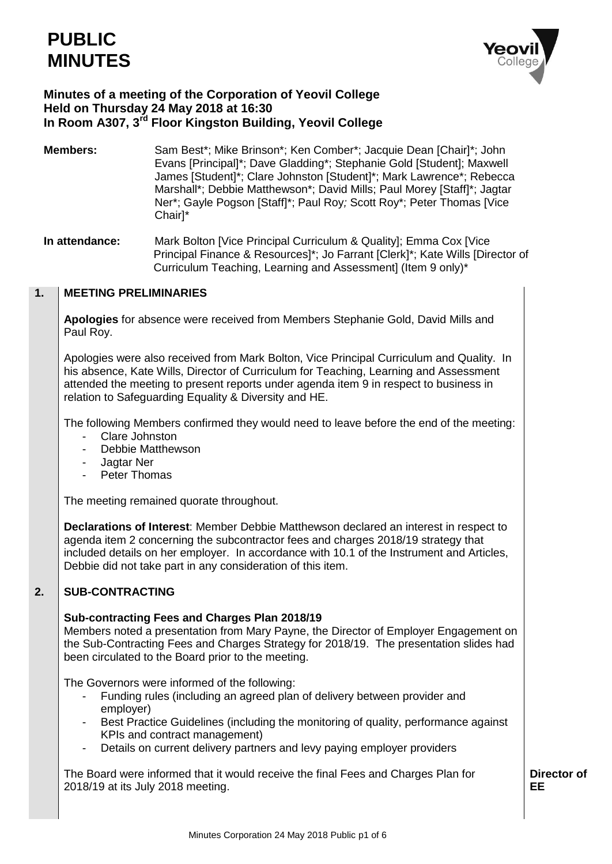# **PUBLIC MINUTES**



# **Minutes of a meeting of the Corporation of Yeovil College Held on Thursday 24 May 2018 at 16:30 In Room A307, 3rd Floor Kingston Building, Yeovil College**

**Members:** Sam Best<sup>\*</sup>; Mike Brinson<sup>\*</sup>; Ken Comber<sup>\*</sup>; Jacquie Dean [Chair]<sup>\*</sup>; John Evans [Principal]\*; Dave Gladding\*; Stephanie Gold [Student]; Maxwell James [Student]\*; Clare Johnston [Student]\*; Mark Lawrence\*; Rebecca Marshall\*; Debbie Matthewson\*; David Mills; Paul Morey [Staff]\*; Jagtar Ner\*; Gayle Pogson [Staff]\*; Paul Roy*;* Scott Roy\*; Peter Thomas [Vice Chair]\*

**In attendance:** Mark Bolton [Vice Principal Curriculum & Quality]; Emma Cox [Vice Principal Finance & Resources]\*; Jo Farrant [Clerk]\*; Kate Wills [Director of Curriculum Teaching, Learning and Assessment] (Item 9 only)\*

#### **1. MEETING PRELIMINARIES**

**Apologies** for absence were received from Members Stephanie Gold, David Mills and Paul Roy.

Apologies were also received from Mark Bolton, Vice Principal Curriculum and Quality. In his absence, Kate Wills, Director of Curriculum for Teaching, Learning and Assessment attended the meeting to present reports under agenda item 9 in respect to business in relation to Safeguarding Equality & Diversity and HE.

The following Members confirmed they would need to leave before the end of the meeting:

- Clare Johnston
- Debbie Matthewson
- Jagtar Ner
- Peter Thomas

The meeting remained quorate throughout.

**Declarations of Interest**: Member Debbie Matthewson declared an interest in respect to agenda item 2 concerning the subcontractor fees and charges 2018/19 strategy that included details on her employer. In accordance with 10.1 of the Instrument and Articles, Debbie did not take part in any consideration of this item.

#### **2. SUB-CONTRACTING**

### **Sub-contracting Fees and Charges Plan 2018/19**

Members noted a presentation from Mary Payne, the Director of Employer Engagement on the Sub-Contracting Fees and Charges Strategy for 2018/19. The presentation slides had been circulated to the Board prior to the meeting.

The Governors were informed of the following:

- Funding rules (including an agreed plan of delivery between provider and employer)
- Best Practice Guidelines (including the monitoring of quality, performance against KPIs and contract management)
- Details on current delivery partners and levy paying employer providers

The Board were informed that it would receive the final Fees and Charges Plan for 2018/19 at its July 2018 meeting.

**Director of EE**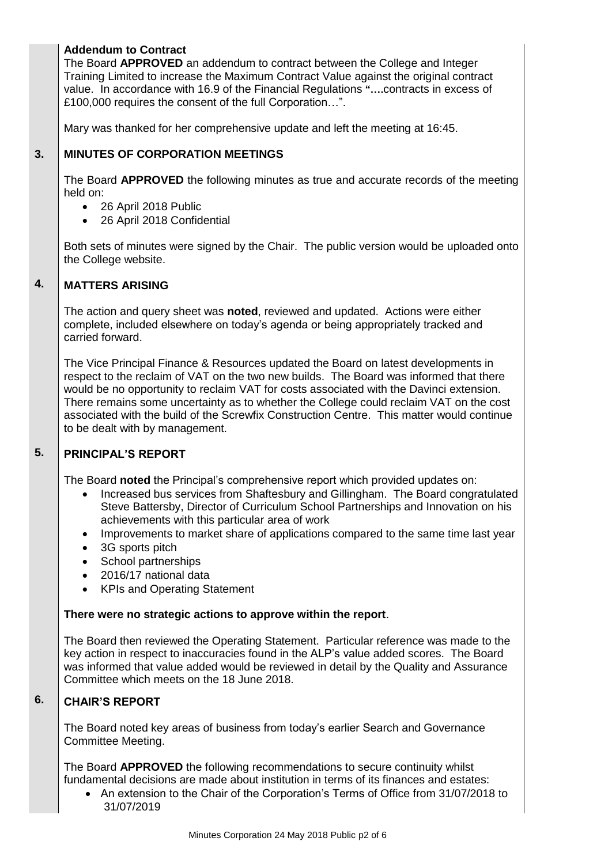# **Addendum to Contract**

The Board **APPROVED** an addendum to contract between the College and Integer Training Limited to increase the Maximum Contract Value against the original contract value. In accordance with 16.9 of the Financial Regulations **"….**contracts in excess of £100,000 requires the consent of the full Corporation…".

Mary was thanked for her comprehensive update and left the meeting at 16:45.

#### **3. MINUTES OF CORPORATION MEETINGS**

The Board **APPROVED** the following minutes as true and accurate records of the meeting held on:

- 26 April 2018 Public
- 26 April 2018 Confidential

Both sets of minutes were signed by the Chair. The public version would be uploaded onto the College website.

#### **4. MATTERS ARISING**

The action and query sheet was **noted**, reviewed and updated. Actions were either complete, included elsewhere on today's agenda or being appropriately tracked and carried forward.

The Vice Principal Finance & Resources updated the Board on latest developments in respect to the reclaim of VAT on the two new builds. The Board was informed that there would be no opportunity to reclaim VAT for costs associated with the Davinci extension. There remains some uncertainty as to whether the College could reclaim VAT on the cost associated with the build of the Screwfix Construction Centre. This matter would continue to be dealt with by management.

#### **5. PRINCIPAL'S REPORT**

The Board **noted** the Principal's comprehensive report which provided updates on:

- Increased bus services from Shaftesbury and Gillingham. The Board congratulated Steve Battersby, Director of Curriculum School Partnerships and Innovation on his achievements with this particular area of work
- Improvements to market share of applications compared to the same time last year
- 3G sports pitch
- School partnerships
- 2016/17 national data
- KPIs and Operating Statement

### **There were no strategic actions to approve within the report**.

The Board then reviewed the Operating Statement. Particular reference was made to the key action in respect to inaccuracies found in the ALP's value added scores. The Board was informed that value added would be reviewed in detail by the Quality and Assurance Committee which meets on the 18 June 2018.

#### **6. CHAIR'S REPORT**

The Board noted key areas of business from today's earlier Search and Governance Committee Meeting.

The Board **APPROVED** the following recommendations to secure continuity whilst fundamental decisions are made about institution in terms of its finances and estates:

 An extension to the Chair of the Corporation's Terms of Office from 31/07/2018 to 31/07/2019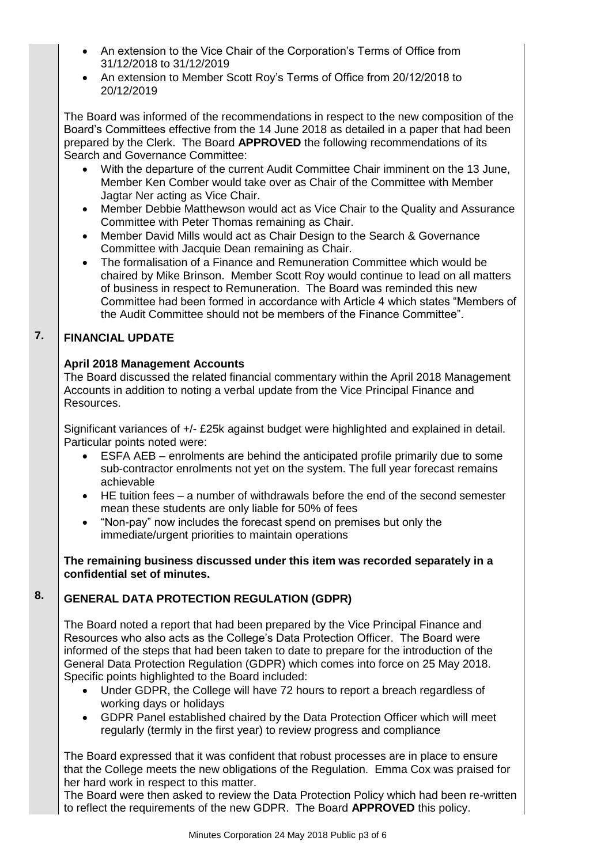- An extension to the Vice Chair of the Corporation's Terms of Office from 31/12/2018 to 31/12/2019
- An extension to Member Scott Roy's Terms of Office from 20/12/2018 to 20/12/2019

The Board was informed of the recommendations in respect to the new composition of the Board's Committees effective from the 14 June 2018 as detailed in a paper that had been prepared by the Clerk. The Board **APPROVED** the following recommendations of its Search and Governance Committee:

- With the departure of the current Audit Committee Chair imminent on the 13 June, Member Ken Comber would take over as Chair of the Committee with Member Jagtar Ner acting as Vice Chair.
- Member Debbie Matthewson would act as Vice Chair to the Quality and Assurance Committee with Peter Thomas remaining as Chair.
- Member David Mills would act as Chair Design to the Search & Governance Committee with Jacquie Dean remaining as Chair.
- The formalisation of a Finance and Remuneration Committee which would be chaired by Mike Brinson. Member Scott Roy would continue to lead on all matters of business in respect to Remuneration. The Board was reminded this new Committee had been formed in accordance with Article 4 which states "Members of the Audit Committee should not be members of the Finance Committee".

#### **7. FINANCIAL UPDATE**

# **April 2018 Management Accounts**

The Board discussed the related financial commentary within the April 2018 Management Accounts in addition to noting a verbal update from the Vice Principal Finance and Resources.

Significant variances of +/- £25k against budget were highlighted and explained in detail. Particular points noted were:

- ESFA AEB enrolments are behind the anticipated profile primarily due to some sub-contractor enrolments not yet on the system. The full year forecast remains achievable
- HE tuition fees a number of withdrawals before the end of the second semester mean these students are only liable for 50% of fees
- "Non-pay" now includes the forecast spend on premises but only the immediate/urgent priorities to maintain operations

**The remaining business discussed under this item was recorded separately in a confidential set of minutes.**

#### **8. GENERAL DATA PROTECTION REGULATION (GDPR)**

The Board noted a report that had been prepared by the Vice Principal Finance and Resources who also acts as the College's Data Protection Officer. The Board were informed of the steps that had been taken to date to prepare for the introduction of the General Data Protection Regulation (GDPR) which comes into force on 25 May 2018. Specific points highlighted to the Board included:

- Under GDPR, the College will have 72 hours to report a breach regardless of working days or holidays
- GDPR Panel established chaired by the Data Protection Officer which will meet regularly (termly in the first year) to review progress and compliance

The Board expressed that it was confident that robust processes are in place to ensure that the College meets the new obligations of the Regulation. Emma Cox was praised for her hard work in respect to this matter.

The Board were then asked to review the Data Protection Policy which had been re-written to reflect the requirements of the new GDPR. The Board **APPROVED** this policy.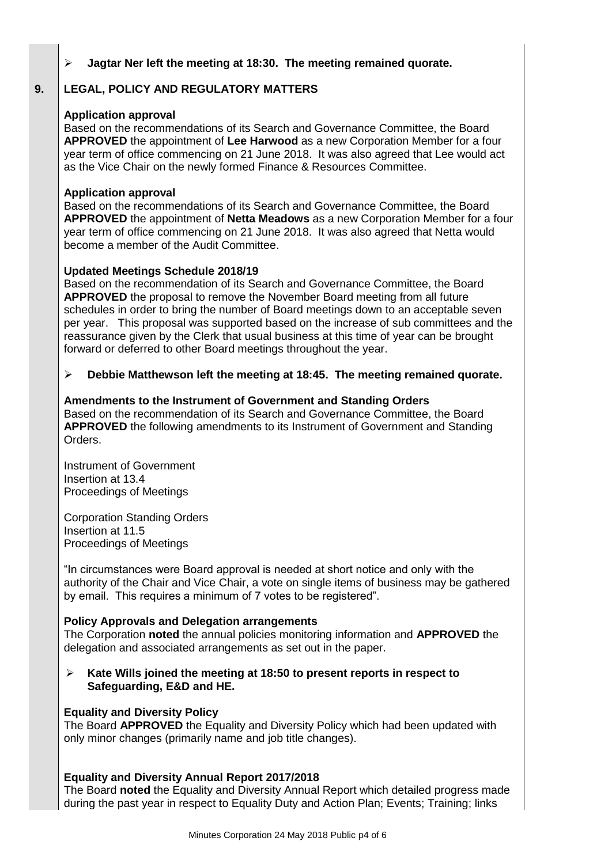### **Jagtar Ner left the meeting at 18:30. The meeting remained quorate.**

#### **9. LEGAL, POLICY AND REGULATORY MATTERS**

### **Application approval**

Based on the recommendations of its Search and Governance Committee, the Board **APPROVED** the appointment of **Lee Harwood** as a new Corporation Member for a four year term of office commencing on 21 June 2018. It was also agreed that Lee would act as the Vice Chair on the newly formed Finance & Resources Committee.

### **Application approval**

Based on the recommendations of its Search and Governance Committee, the Board **APPROVED** the appointment of **Netta Meadows** as a new Corporation Member for a four year term of office commencing on 21 June 2018. It was also agreed that Netta would become a member of the Audit Committee.

### **Updated Meetings Schedule 2018/19**

Based on the recommendation of its Search and Governance Committee, the Board **APPROVED** the proposal to remove the November Board meeting from all future schedules in order to bring the number of Board meetings down to an acceptable seven per year. This proposal was supported based on the increase of sub committees and the reassurance given by the Clerk that usual business at this time of year can be brought forward or deferred to other Board meetings throughout the year.

### **Debbie Matthewson left the meeting at 18:45. The meeting remained quorate.**

### **Amendments to the Instrument of Government and Standing Orders**

Based on the recommendation of its Search and Governance Committee, the Board **APPROVED** the following amendments to its Instrument of Government and Standing Orders.

Instrument of Government Insertion at 13.4 Proceedings of Meetings

Corporation Standing Orders Insertion at 11.5 Proceedings of Meetings

"In circumstances were Board approval is needed at short notice and only with the authority of the Chair and Vice Chair, a vote on single items of business may be gathered by email. This requires a minimum of 7 votes to be registered".

### **Policy Approvals and Delegation arrangements**

The Corporation **noted** the annual policies monitoring information and **APPROVED** the delegation and associated arrangements as set out in the paper.

 **Kate Wills joined the meeting at 18:50 to present reports in respect to Safeguarding, E&D and HE.**

### **Equality and Diversity Policy**

The Board **APPROVED** the Equality and Diversity Policy which had been updated with only minor changes (primarily name and job title changes).

### **Equality and Diversity Annual Report 2017/2018**

The Board **noted** the Equality and Diversity Annual Report which detailed progress made during the past year in respect to Equality Duty and Action Plan; Events; Training; links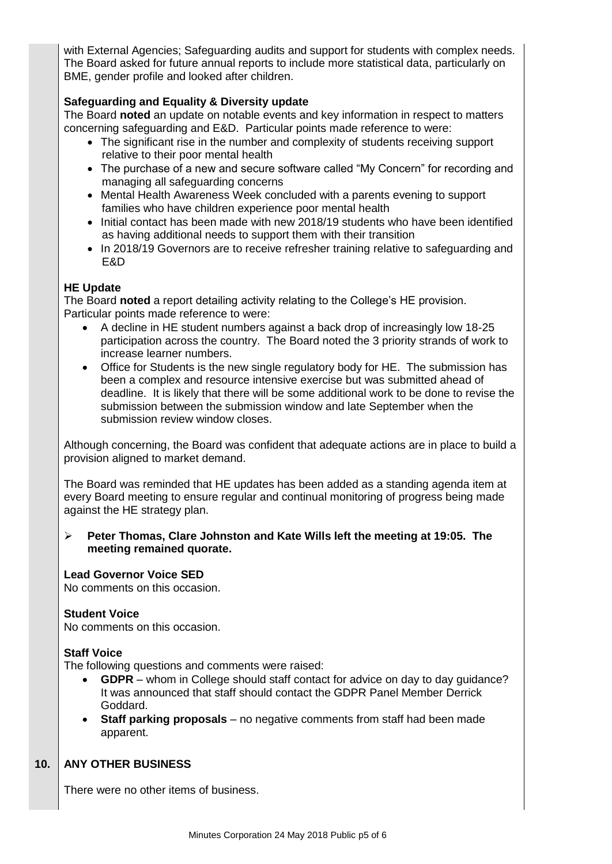with External Agencies; Safeguarding audits and support for students with complex needs. The Board asked for future annual reports to include more statistical data, particularly on BME, gender profile and looked after children.

# **Safeguarding and Equality & Diversity update**

The Board **noted** an update on notable events and key information in respect to matters concerning safeguarding and E&D. Particular points made reference to were:

- The significant rise in the number and complexity of students receiving support relative to their poor mental health
- The purchase of a new and secure software called "My Concern" for recording and managing all safeguarding concerns
- Mental Health Awareness Week concluded with a parents evening to support families who have children experience poor mental health
- Initial contact has been made with new 2018/19 students who have been identified as having additional needs to support them with their transition
- In 2018/19 Governors are to receive refresher training relative to safeguarding and E&D

### **HE Update**

The Board **noted** a report detailing activity relating to the College's HE provision. Particular points made reference to were:

- A decline in HE student numbers against a back drop of increasingly low 18-25 participation across the country. The Board noted the 3 priority strands of work to increase learner numbers.
- Office for Students is the new single regulatory body for HE. The submission has been a complex and resource intensive exercise but was submitted ahead of deadline. It is likely that there will be some additional work to be done to revise the submission between the submission window and late September when the submission review window closes.

Although concerning, the Board was confident that adequate actions are in place to build a provision aligned to market demand.

The Board was reminded that HE updates has been added as a standing agenda item at every Board meeting to ensure regular and continual monitoring of progress being made against the HE strategy plan.

 **Peter Thomas, Clare Johnston and Kate Wills left the meeting at 19:05. The meeting remained quorate.**

### **Lead Governor Voice SED**

No comments on this occasion.

#### **Student Voice**

No comments on this occasion.

#### **Staff Voice**

The following questions and comments were raised:

- **GDPR** whom in College should staff contact for advice on day to day guidance? It was announced that staff should contact the GDPR Panel Member Derrick Goddard.
- **Staff parking proposals** no negative comments from staff had been made apparent.

#### **10. ANY OTHER BUSINESS**

There were no other items of business.